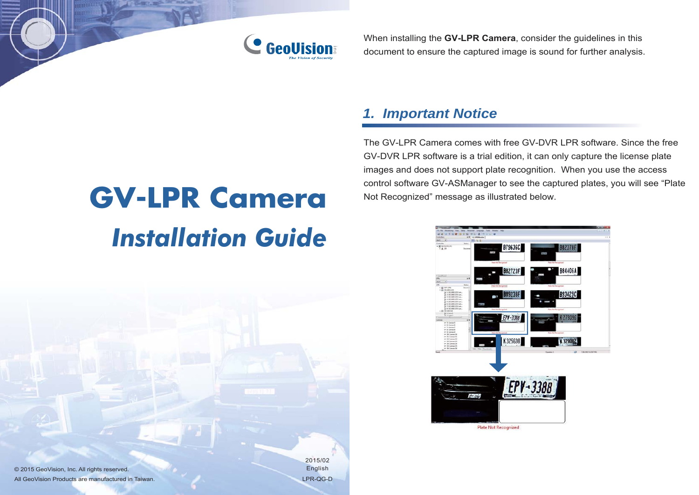

When installing the **GV-LPR Camera**, consider the guidelines in this document to ensure the captured image is sound for further analysis.

### *1. Important Notice*

The GV-LPR Camera comes with free GV-DVR LPR software. Since the free GV-DVR LPR software is a trial edition, it can only capture the license plate images and does not support plate recognition. When you use the access control software GV-ASManager to see the captured plates, you will see "Plate Not Recognized" message as illustrated below.

# **GV-LPR Camera** *Installation Guide*



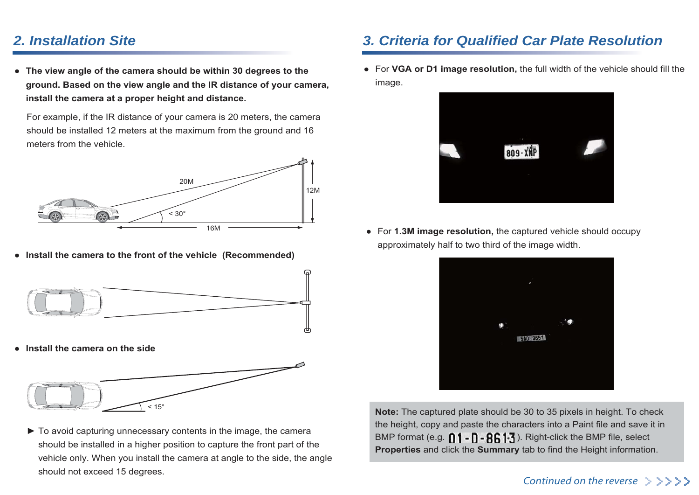#### *2. Installation Site*

**● The view angle of the camera should be within 30 degrees to the ground. Based on the view angle and the IR distance of your camera, install the camera at a proper height and distance.**

For example, if the IR distance of your camera is 20 meters, the camera should be installed 12 meters at the maximum from the ground and 16 meters from the vehicle.



**● Install the camera to the front of the vehicle (Recommended)**



**● Install the camera on the side**



► To avoid capturing unnecessary contents in the image, the camera should be installed in a higher position to capture the front part of the vehicle only. When you install the camera at angle to the side, the angle should not exceed 15 degrees.

#### *3. Criteria for Qualified Car Plate Resolution*

**●** For **VGA or D1 image resolution,** the full width of the vehicle should fill the image.



**●** For **1.3M image resolution,** the captured vehicle should occupy approximately half to two third of the image width.



 **Note:** The captured plate should be 30 to 35 pixels in height. To check the height, copy and paste the characters into a Paint file and save it in BMP format (e.g.  $\bigcap$  1 -  $\bigcap$  -  $\bigcap$  6. 1.3. Right-click the BMP file, select **Properties** and click the **Summary** tab to find the Height information.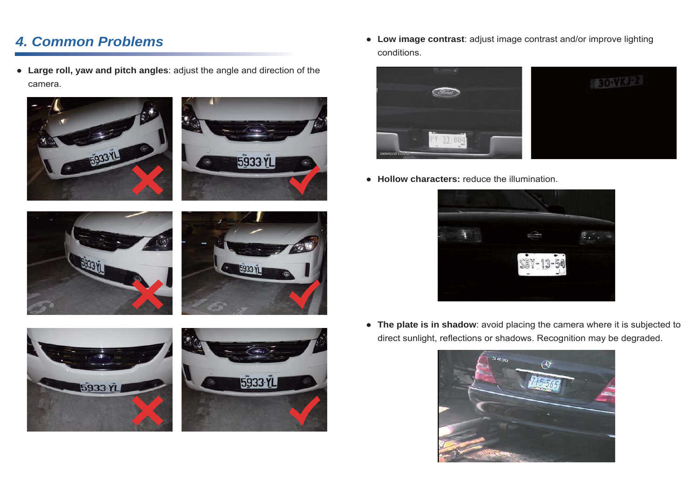## *4. Common Problems*

● **Large roll, yaw and pitch angles**: adjust the angle and direction of the camera.



● **Low image contrast**: adjust image contrast and/or improve lighting conditions.



● **Hollow characters:** reduce the illumination.



● **The plate is in shadow**: avoid placing the camera where it is subjected to direct sunlight, reflections or shadows. Recognition may be degraded.